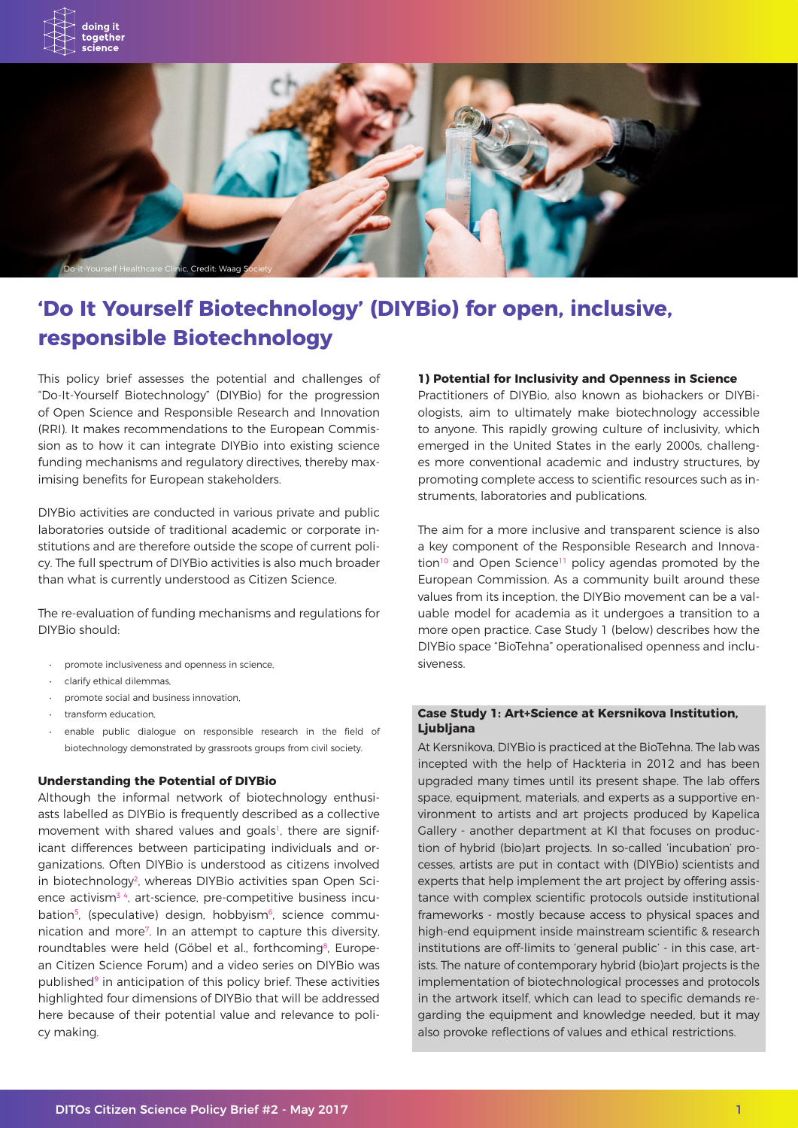

# **'Do It Yourself Biotechnology' (DIYBio) for open, inclusive, responsible Biotechnology**

This policy brief assesses the potential and challenges of "Do-It-Yourself Biotechnology" (DIYBio) for the progression of Open Science and Responsible Research and Innovation (RRI). It makes recommendations to the European Commission as to how it can integrate DIYBio into existing science funding mechanisms and regulatory directives, thereby maximising benefits for European stakeholders.

DIYBio activities are conducted in various private and public laboratories outside of traditional academic or corporate institutions and are therefore outside the scope of current policy. The full spectrum of DIYBio activities is also much broader than what is currently understood as Citizen Science.

The re-evaluation of funding mechanisms and regulations for DIYBio should:

- promote inclusiveness and openness in science,
- • clarify ethical dilemmas,
- • promote social and business innovation,
- transform education
- enable public dialogue on responsible research in the field of biotechnology demonstrated by grassroots groups from civil society.

#### **Understanding the Potential of DIYBio**

Although the informal network of biotechnology enthusiasts labelled as DIYBio is frequently described as a collective movement with shared values and goals<sup>1</sup>, there are significant differences between participating individuals and organizations. Often DIYBio is understood as citizens involved in biotechnology<sup>2</sup>, whereas DIYBio activities span Open Science activism<sup>34</sup>, art-science, pre-competitive business incubation<sup>5</sup>, (speculative) design, hobbyism<sup>6</sup>, science communication and more7. In an attempt to capture this diversity, roundtables were held (Göbel et al., forthcoming<sup>8</sup>, European Citizen Science Forum) and a video series on DIYBio was published<sup>9</sup> in anticipation of this policy brief. These activities highlighted four dimensions of DIYBio that will be addressed here because of their potential value and relevance to policy making.

# **1) Potential for Inclusivity and Openness in Science**

Practitioners of DIYBio, also known as biohackers or DIYBiologists, aim to ultimately make biotechnology accessible to anyone. This rapidly growing culture of inclusivity, which emerged in the United States in the early 2000s, challenges more conventional academic and industry structures, by promoting complete access to scientific resources such as instruments, laboratories and publications.

The aim for a more inclusive and transparent science is also a key component of the Responsible Research and Innovation<sup>10</sup> and Open Science<sup>11</sup> policy agendas promoted by the European Commission. As a community built around these values from its inception, the DIYBio movement can be a valuable model for academia as it undergoes a transition to a more open practice. Case Study 1 (below) describes how the DIYBio space "BioTehna" operationalised openness and inclusiveness.

# **Case Study 1: Art+Science at Kersnikova Institution, Ljubljana**

At Kersnikova, DIYBio is practiced at the BioTehna. The lab was incepted with the help of Hackteria in 2012 and has been upgraded many times until its present shape. The lab offers space, equipment, materials, and experts as a supportive environment to artists and art projects produced by Kapelica Gallery - another department at KI that focuses on production of hybrid (bio)art projects. In so-called 'incubation' processes, artists are put in contact with (DIYBio) scientists and experts that help implement the art project by offering assistance with complex scientific protocols outside institutional frameworks - mostly because access to physical spaces and high-end equipment inside mainstream scientific & research institutions are off-limits to 'general public' - in this case, artists. The nature of contemporary hybrid (bio)art projects is the implementation of biotechnological processes and protocols in the artwork itself, which can lead to specific demands regarding the equipment and knowledge needed, but it may also provoke reflections of values and ethical restrictions.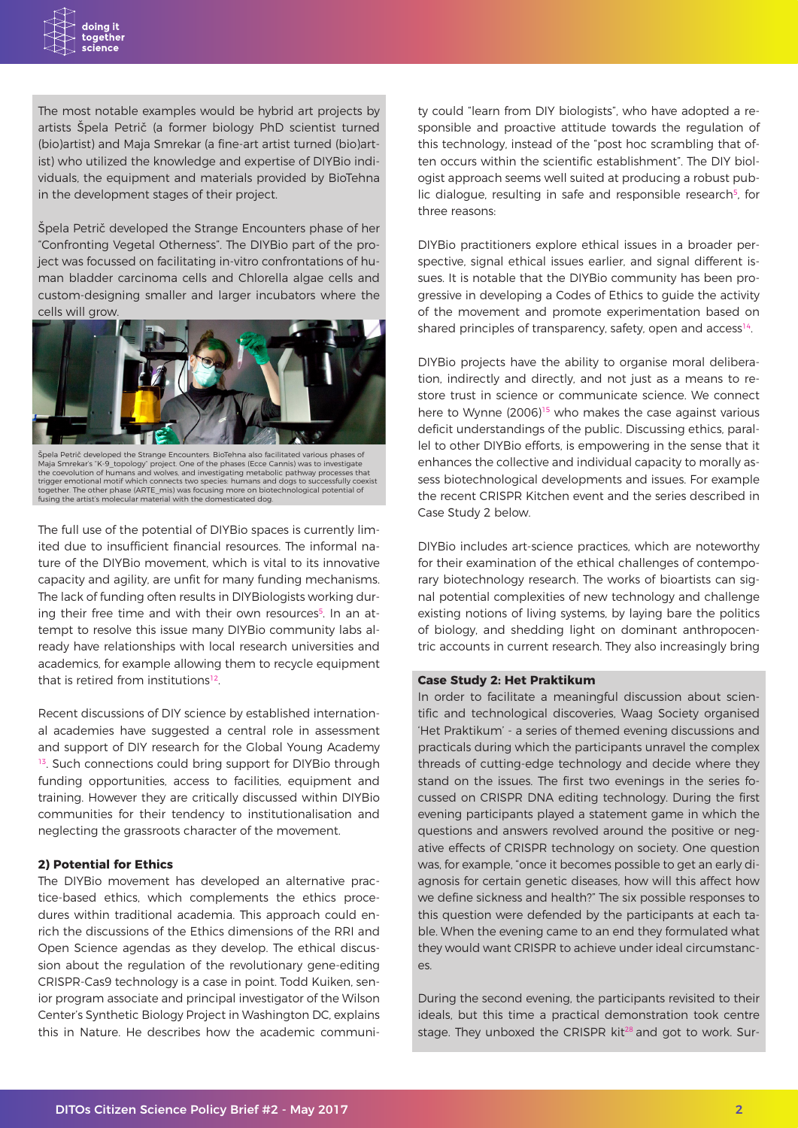The most notable examples would be hybrid art projects by artists Špela Petrič (a former biology PhD scientist turned (bio)artist) and Maja Smrekar (a fine-art artist turned (bio)artist) who utilized the knowledge and expertise of DIYBio individuals, the equipment and materials provided by BioTehna in the development stages of their project.

Špela Petrič developed the Strange Encounters phase of her "Confronting Vegetal Otherness". The DIYBio part of the project was focussed on facilitating in-vitro confrontations of human bladder carcinoma cells and Chlorella algae cells and custom-designing smaller and larger incubators where the cells will grow.



Spela Petrič developed the Strange Encounters. BioTehna also facilitated various phases of<br>Maja Smrekar's "K-9\_topology" project. One of the phases (Ecce Cannis) was to investigate<br>the coevolution of humans and wolves, and together. The other phase (ARTE\_mis) was focusing more on biotechnological potential of fusing the artist's molecular material with the domesticated dog.

The full use of the potential of DIYBio spaces is currently limited due to insufficient financial resources. The informal nature of the DIYBio movement, which is vital to its innovative capacity and agility, are unfit for many funding mechanisms. The lack of funding often results in DIYBiologists working during their free time and with their own resources<sup>5</sup>. In an attempt to resolve this issue many DIYBio community labs already have relationships with local research universities and academics, for example allowing them to recycle equipment that is retired from institutions<sup>12</sup>.

Recent discussions of DIY science by established international academies have suggested a central role in assessment and support of DIY research for the Global Young Academy <sup>13</sup>. Such connections could bring support for DIYBio through funding opportunities, access to facilities, equipment and training. However they are critically discussed within DIYBio communities for their tendency to institutionalisation and neglecting the grassroots character of the movement.

# **2) Potential for Ethics**

The DIYBio movement has developed an alternative practice-based ethics, which complements the ethics procedures within traditional academia. This approach could enrich the discussions of the Ethics dimensions of the RRI and Open Science agendas as they develop. The ethical discussion about the regulation of the revolutionary gene-editing CRISPR-Cas9 technology is a case in point. Todd Kuiken, senior program associate and principal investigator of the Wilson Center's Synthetic Biology Project in Washington DC, explains this in Nature. He describes how the academic community could "learn from DIY biologists", who have adopted a responsible and proactive attitude towards the regulation of this technology, instead of the "post hoc scrambling that often occurs within the scientific establishment". The DIY biologist approach seems well suited at producing a robust public dialogue, resulting in safe and responsible research<sup>5</sup>, for three reasons:

DIYBio practitioners explore ethical issues in a broader perspective, signal ethical issues earlier, and signal different issues. It is notable that the DIYBio community has been progressive in developing a Codes of Ethics to guide the activity of the movement and promote experimentation based on shared principles of transparency, safety, open and access<sup>14</sup>.

DIYBio projects have the ability to organise moral deliberation, indirectly and directly, and not just as a means to restore trust in science or communicate science. We connect here to Wynne  $(2006)^{15}$  who makes the case against various deficit understandings of the public. Discussing ethics, parallel to other DIYBio efforts, is empowering in the sense that it enhances the collective and individual capacity to morally assess biotechnological developments and issues. For example the recent CRISPR Kitchen event and the series described in Case Study 2 below.

DIYBio includes art-science practices, which are noteworthy for their examination of the ethical challenges of contemporary biotechnology research. The works of bioartists can signal potential complexities of new technology and challenge existing notions of living systems, by laying bare the politics of biology, and shedding light on dominant anthropocentric accounts in current research. They also increasingly bring

# **Case Study 2: Het Praktikum**

In order to facilitate a meaningful discussion about scientific and technological discoveries, Waag Society organised 'Het Praktikum' - a series of themed evening discussions and practicals during which the participants unravel the complex threads of cutting-edge technology and decide where they stand on the issues. The first two evenings in the series focussed on CRISPR DNA editing technology. During the first evening participants played a statement game in which the questions and answers revolved around the positive or negative effects of CRISPR technology on society. One question was, for example, "once it becomes possible to get an early diagnosis for certain genetic diseases, how will this affect how we define sickness and health?" The six possible responses to this question were defended by the participants at each table. When the evening came to an end they formulated what they would want CRISPR to achieve under ideal circumstances.

During the second evening, the participants revisited to their ideals, but this time a practical demonstration took centre stage. They unboxed the CRISPR kit<sup>28</sup> and got to work. Sur-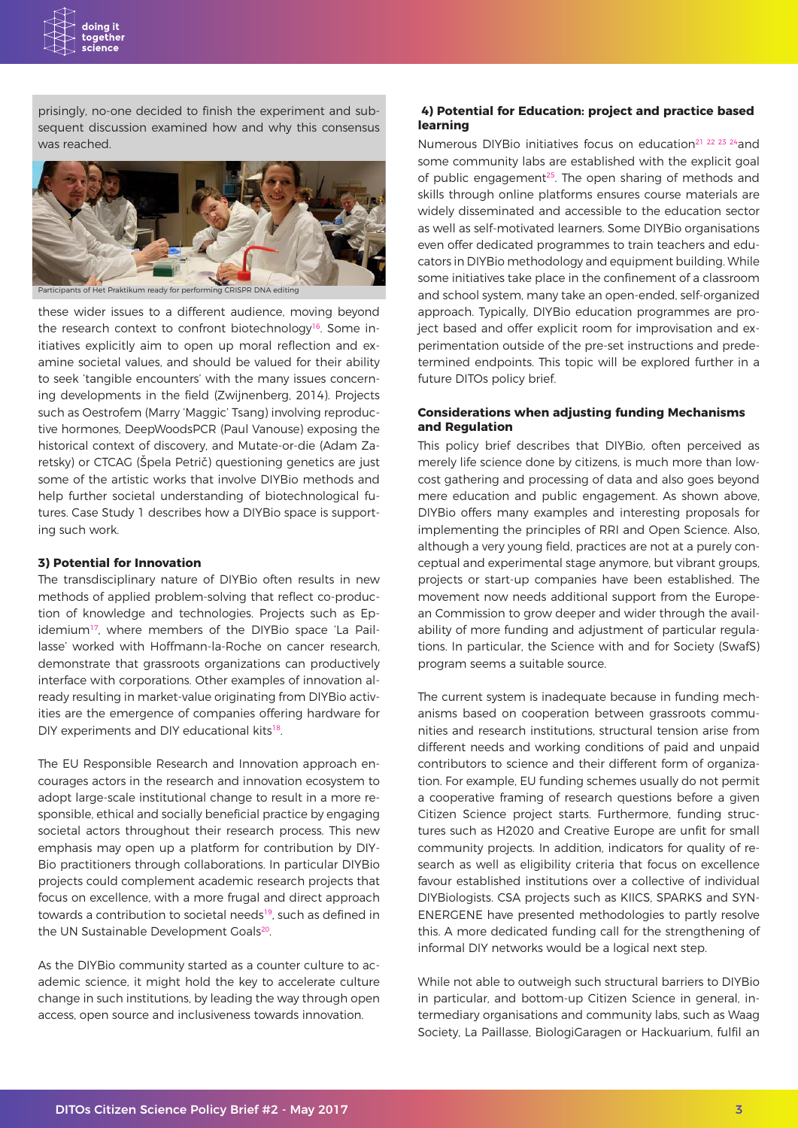

prisingly, no-one decided to finish the experiment and subsequent discussion examined how and why this consensus was reached.



**articipants of Het Praktikum ready for performing CRISPR DNA editing** 

these wider issues to a different audience, moving beyond the research context to confront biotechnology<sup>16</sup>. Some initiatives explicitly aim to open up moral reflection and examine societal values, and should be valued for their ability to seek 'tangible encounters' with the many issues concerning developments in the field (Zwijnenberg, 2014). Projects such as Oestrofem (Marry 'Maggic' Tsang) involving reproductive hormones, DeepWoodsPCR (Paul Vanouse) exposing the historical context of discovery, and Mutate-or-die (Adam Zaretsky) or CTCAG (Špela Petrič) questioning genetics are just some of the artistic works that involve DIYBio methods and help further societal understanding of biotechnological futures. Case Study 1 describes how a DIYBio space is supporting such work.

#### **3) Potential for Innovation**

The transdisciplinary nature of DIYBio often results in new methods of applied problem-solving that reflect co-production of knowledge and technologies. Projects such as Epidemium<sup>17</sup>, where members of the DIYBio space 'La Paillasse' worked with Hoffmann-la-Roche on cancer research, demonstrate that grassroots organizations can productively interface with corporations. Other examples of innovation already resulting in market-value originating from DIYBio activities are the emergence of companies offering hardware for DIY experiments and DIY educational kits<sup>18</sup>.

The EU Responsible Research and Innovation approach encourages actors in the research and innovation ecosystem to adopt large-scale institutional change to result in a more responsible, ethical and socially beneficial practice by engaging societal actors throughout their research process. This new emphasis may open up a platform for contribution by DIY-Bio practitioners through collaborations. In particular DIYBio projects could complement academic research projects that focus on excellence, with a more frugal and direct approach towards a contribution to societal needs<sup>19</sup>, such as defined in the UN Sustainable Development Goals<sup>20</sup>.

As the DIYBio community started as a counter culture to academic science, it might hold the key to accelerate culture change in such institutions, by leading the way through open access, open source and inclusiveness towards innovation.

# **4) Potential for Education: project and practice based learning**

Numerous DIYBio initiatives focus on education<sup>21</sup> <sup>22</sup> <sup>23</sup> <sup>24</sup> and some community labs are established with the explicit goal of public engagement<sup>25</sup>. The open sharing of methods and skills through online platforms ensures course materials are widely disseminated and accessible to the education sector as well as self-motivated learners. Some DIYBio organisations even offer dedicated programmes to train teachers and educators in DIYBio methodology and equipment building. While some initiatives take place in the confinement of a classroom and school system, many take an open-ended, self-organized approach. Typically, DIYBio education programmes are project based and offer explicit room for improvisation and experimentation outside of the pre-set instructions and predetermined endpoints. This topic will be explored further in a future DITOs policy brief.

# **Considerations when adjusting funding Mechanisms and Regulation**

This policy brief describes that DIYBio, often perceived as merely life science done by citizens, is much more than lowcost gathering and processing of data and also goes beyond mere education and public engagement. As shown above, DIYBio offers many examples and interesting proposals for implementing the principles of RRI and Open Science. Also, although a very young field, practices are not at a purely conceptual and experimental stage anymore, but vibrant groups, projects or start-up companies have been established. The movement now needs additional support from the European Commission to grow deeper and wider through the availability of more funding and adjustment of particular regulations. In particular, the Science with and for Society (SwafS) program seems a suitable source.

The current system is inadequate because in funding mechanisms based on cooperation between grassroots communities and research institutions, structural tension arise from different needs and working conditions of paid and unpaid contributors to science and their different form of organization. For example, EU funding schemes usually do not permit a cooperative framing of research questions before a given Citizen Science project starts. Furthermore, funding structures such as H2020 and Creative Europe are unfit for small community projects. In addition, indicators for quality of research as well as eligibility criteria that focus on excellence favour established institutions over a collective of individual DIYBiologists. CSA projects such as KIICS, SPARKS and SYN-ENERGENE have presented methodologies to partly resolve this. A more dedicated funding call for the strengthening of informal DIY networks would be a logical next step.

While not able to outweigh such structural barriers to DIYBio in particular, and bottom-up Citizen Science in general, intermediary organisations and community labs, such as Waag Society, La Paillasse, BiologiGaragen or Hackuarium, fulfil an